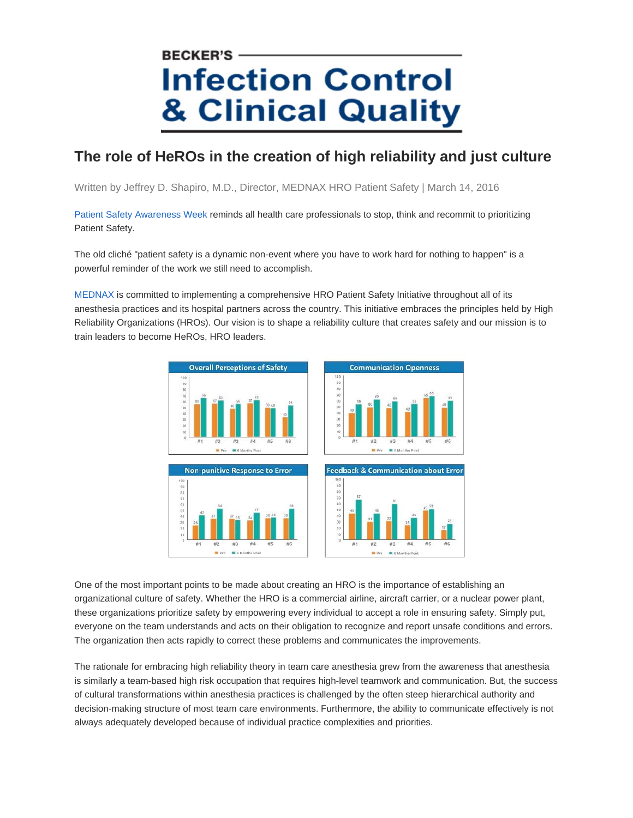## **BECKER'S Infection Control & Clinical Quality**

## **The role of HeROs in the creation of high reliability and just culture**

Written by Jeffrey D. Shapiro, M.D., Director, MEDNAX HRO Patient Safety | March 14, 2016

Patient Safety Awareness Week reminds all health care professionals to stop, think and recommit to prioritizing Patient Safety.

The old cliché "patient safety is a dynamic non-event where you have to work hard for nothing to happen" is a powerful reminder of the work we still need to accomplish.

MEDNAX is committed to implementing a comprehensive HRO Patient Safety Initiative throughout all of its anesthesia practices and its hospital partners across the country. This initiative embraces the principles held by High Reliability Organizations (HROs). Our vision is to shape a reliability culture that creates safety and our mission is to train leaders to become HeROs, HRO leaders.



One of the most important points to be made about creating an HRO is the importance of establishing an organizational culture of safety. Whether the HRO is a commercial airline, aircraft carrier, or a nuclear power plant, these organizations prioritize safety by empowering every individual to accept a role in ensuring safety. Simply put, everyone on the team understands and acts on their obligation to recognize and report unsafe conditions and errors. The organization then acts rapidly to correct these problems and communicates the improvements.

The rationale for embracing high reliability theory in team care anesthesia grew from the awareness that anesthesia is similarly a team-based high risk occupation that requires high-level teamwork and communication. But, the success of cultural transformations within anesthesia practices is challenged by the often steep hierarchical authority and decision-making structure of most team care environments. Furthermore, the ability to communicate effectively is not always adequately developed because of individual practice complexities and priorities.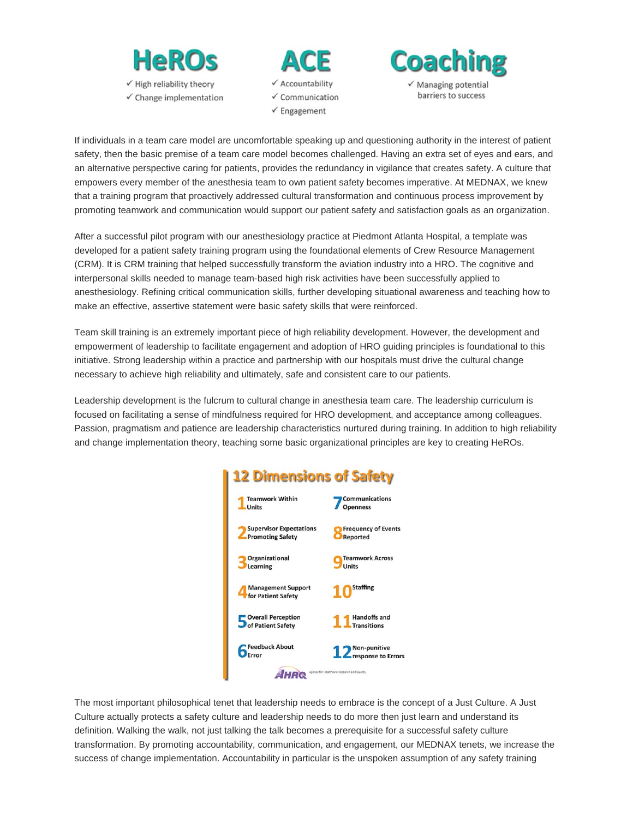

 $\checkmark$  Change implementation





If individuals in a team care model are uncomfortable speaking up and questioning authority in the interest of patient safety, then the basic premise of a team care model becomes challenged. Having an extra set of eyes and ears, and an alternative perspective caring for patients, provides the redundancy in vigilance that creates safety. A culture that empowers every member of the anesthesia team to own patient safety becomes imperative. At MEDNAX, we knew that a training program that proactively addressed cultural transformation and continuous process improvement by promoting teamwork and communication would support our patient safety and satisfaction goals as an organization.

After a successful pilot program with our anesthesiology practice at Piedmont Atlanta Hospital, a template was developed for a patient safety training program using the foundational elements of Crew Resource Management (CRM). It is CRM training that helped successfully transform the aviation industry into a HRO. The cognitive and interpersonal skills needed to manage team-based high risk activities have been successfully applied to anesthesiology. Refining critical communication skills, further developing situational awareness and teaching how to make an effective, assertive statement were basic safety skills that were reinforced.

Team skill training is an extremely important piece of high reliability development. However, the development and empowerment of leadership to facilitate engagement and adoption of HRO guiding principles is foundational to this initiative. Strong leadership within a practice and partnership with our hospitals must drive the cultural change necessary to achieve high reliability and ultimately, safe and consistent care to our patients.

Leadership development is the fulcrum to cultural change in anesthesia team care. The leadership curriculum is focused on facilitating a sense of mindfulness required for HRO development, and acceptance among colleagues. Passion, pragmatism and patience are leadership characteristics nurtured during training. In addition to high reliability and change implementation theory, teaching some basic organizational principles are key to creating HeROs.

## **12 Dimensions of Safety**



The most important philosophical tenet that leadership needs to embrace is the concept of a Just Culture. A Just Culture actually protects a safety culture and leadership needs to do more then just learn and understand its definition. Walking the walk, not just talking the talk becomes a prerequisite for a successful safety culture transformation. By promoting accountability, communication, and engagement, our MEDNAX tenets, we increase the success of change implementation. Accountability in particular is the unspoken assumption of any safety training